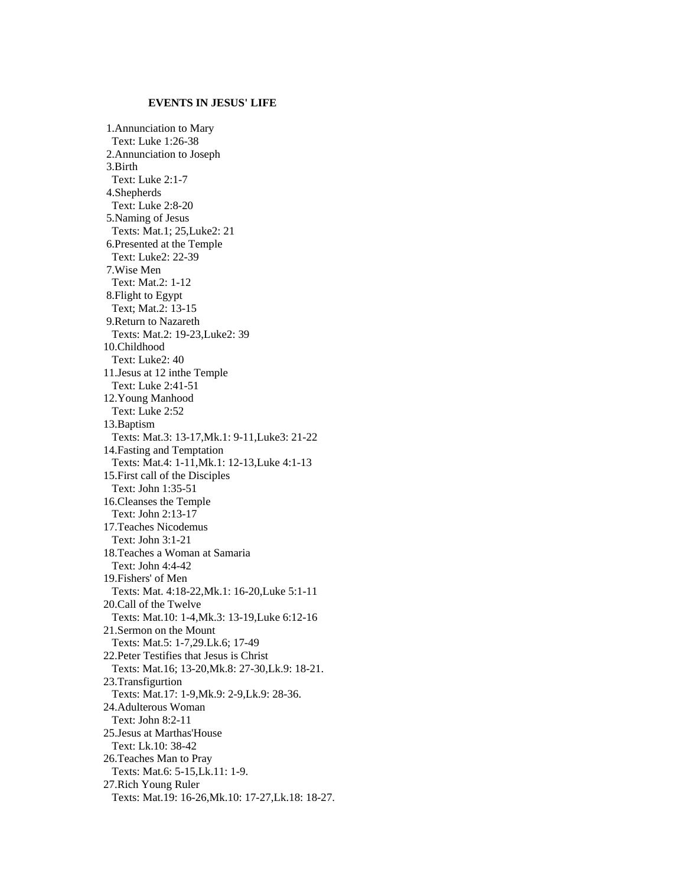## **EVENTS IN JESUS' LIFE**

 1.Annunciation to Mary Text: Luke 1:26-38 2.Annunciation to Joseph 3.Birth Text: Luke 2:1-7 4.Shepherds Text: Luke 2:8-20 5.Naming of Jesus Texts: Mat.1; 25,Luke2: 21 6.Presented at the Temple Text: Luke2: 22-39 7.Wise Men Text: Mat.2: 1-12 8.Flight to Egypt Text; Mat.2: 13-15 9.Return to Nazareth Texts: Mat.2: 19-23,Luke2: 39 10.Childhood Text: Luke2: 40 11.Jesus at 12 inthe Temple Text: Luke 2:41-51 12.Young Manhood Text: Luke 2:52 13.Baptism Texts: Mat.3: 13-17,Mk.1: 9-11,Luke3: 21-22 14.Fasting and Temptation Texts: Mat.4: 1-11,Mk.1: 12-13,Luke 4:1-13 15.First call of the Disciples Text: John 1:35-51 16.Cleanses the Temple Text: John 2:13-17 17.Teaches Nicodemus Text: John 3:1-21 18.Teaches a Woman at Samaria Text: John 4:4-42 19.Fishers' of Men Texts: Mat. 4:18-22,Mk.1: 16-20,Luke 5:1-11 20.Call of the Twelve Texts: Mat.10: 1-4,Mk.3: 13-19,Luke 6:12-16 21.Sermon on the Mount Texts: Mat.5: 1-7,29.Lk.6; 17-49 22.Peter Testifies that Jesus is Christ Texts: Mat.16; 13-20,Mk.8: 27-30,Lk.9: 18-21. 23.Transfigurtion Texts: Mat.17: 1-9,Mk.9: 2-9,Lk.9: 28-36. 24.Adulterous Woman Text: John 8:2-11 25.Jesus at Marthas'House Text: Lk.10: 38-42 26.Teaches Man to Pray Texts: Mat.6: 5-15,Lk.11: 1-9. 27.Rich Young Ruler Texts: Mat.19: 16-26,Mk.10: 17-27,Lk.18: 18-27.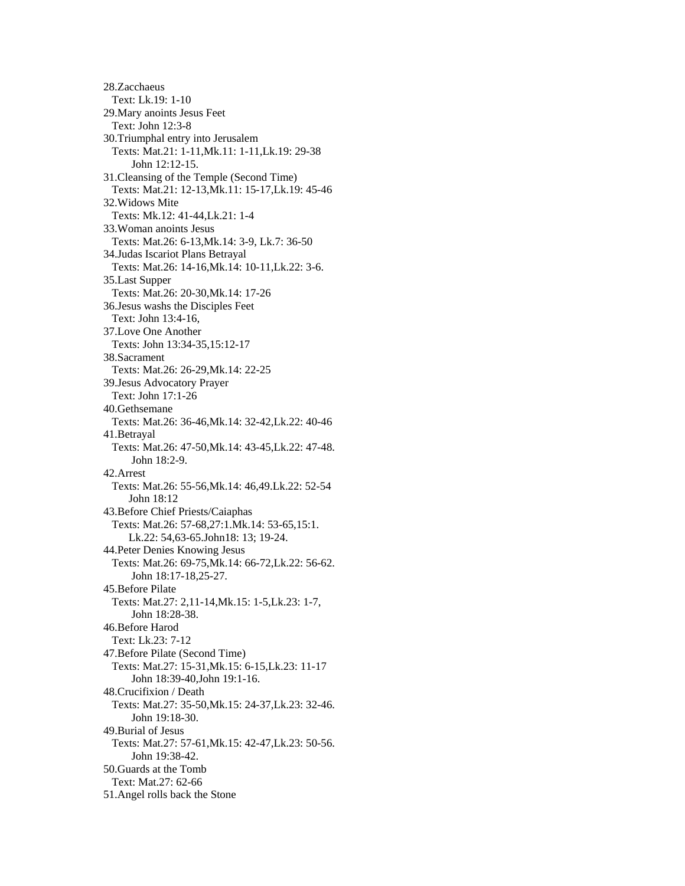28.Zacchaeus Text: Lk.19: 1-10 29.Mary anoints Jesus Feet Text: John 12:3-8 30.Triumphal entry into Jerusalem Texts: Mat.21: 1-11,Mk.11: 1-11,Lk.19: 29-38 John 12:12-15. 31.Cleansing of the Temple (Second Time) Texts: Mat.21: 12-13,Mk.11: 15-17,Lk.19: 45-46 32.Widows Mite Texts: Mk.12: 41-44,Lk.21: 1-4 33.Woman anoints Jesus Texts: Mat.26: 6-13,Mk.14: 3-9, Lk.7: 36-50 34.Judas Iscariot Plans Betrayal Texts: Mat.26: 14-16,Mk.14: 10-11,Lk.22: 3-6. 35.Last Supper Texts: Mat.26: 20-30,Mk.14: 17-26 36.Jesus washs the Disciples Feet Text: John 13:4-16, 37.Love One Another Texts: John 13:34-35,15:12-17 38.Sacrament Texts: Mat.26: 26-29,Mk.14: 22-25 39.Jesus Advocatory Prayer Text: John 17:1-26 40.Gethsemane Texts: Mat.26: 36-46,Mk.14: 32-42,Lk.22: 40-46 41.Betrayal Texts: Mat.26: 47-50,Mk.14: 43-45,Lk.22: 47-48. John 18:2-9. 42.Arrest Texts: Mat.26: 55-56,Mk.14: 46,49.Lk.22: 52-54 John 18:12 43.Before Chief Priests/Caiaphas Texts: Mat.26: 57-68,27:1.Mk.14: 53-65,15:1. Lk.22: 54,63-65.John18: 13; 19-24. 44.Peter Denies Knowing Jesus Texts: Mat.26: 69-75,Mk.14: 66-72,Lk.22: 56-62. John 18:17-18,25-27. 45.Before Pilate Texts: Mat.27: 2,11-14,Mk.15: 1-5,Lk.23: 1-7, John 18:28-38. 46.Before Harod Text: Lk.23: 7-12 47.Before Pilate (Second Time) Texts: Mat.27: 15-31,Mk.15: 6-15,Lk.23: 11-17 John 18:39-40,John 19:1-16. 48.Crucifixion / Death Texts: Mat.27: 35-50,Mk.15: 24-37,Lk.23: 32-46. John 19:18-30. 49.Burial of Jesus Texts: Mat.27: 57-61,Mk.15: 42-47,Lk.23: 50-56. John 19:38-42. 50.Guards at the Tomb Text: Mat.27: 62-66 51.Angel rolls back the Stone